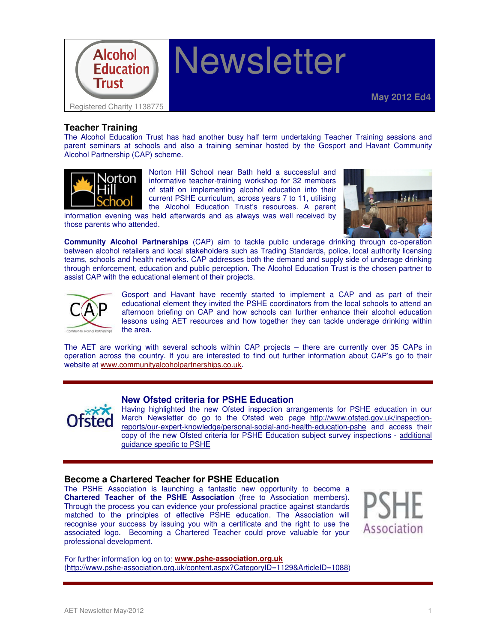

# **Newsletter**

# **Teacher Training**

The Alcohol Education Trust has had another busy half term undertaking Teacher Training sessions and parent seminars at schools and also a training seminar hosted by the Gosport and Havant Community Alcohol Partnership (CAP) scheme.



Norton Hill School near Bath held a successful and informative teacher-training workshop for 32 members of staff on implementing alcohol education into their current PSHE curriculum, across years 7 to 11, utilising the Alcohol Education Trust's resources. A parent

information evening was held afterwards and as always was well received by those parents who attended.



**Community Alcohol Partnerships** (CAP) aim to tackle public underage drinking through co-operation between alcohol retailers and local stakeholders such as Trading Standards, police, local authority licensing teams, schools and health networks. CAP addresses both the demand and supply side of underage drinking through enforcement, education and public perception. The Alcohol Education Trust is the chosen partner to assist CAP with the educational element of their projects.



Gosport and Havant have recently started to implement a CAP and as part of their educational element they invited the PSHE coordinators from the local schools to attend an afternoon briefing on CAP and how schools can further enhance their alcohol education lessons using AET resources and how together they can tackle underage drinking within the area.

The AET are working with several schools within CAP projects – there are currently over 35 CAPs in operation across the country. If you are interested to find out further information about CAP's go to their website at www.communityalcoholpartnerships.co.uk.



## **New Ofsted criteria for PSHE Education**

Having highlighted the new Ofsted inspection arrangements for PSHE education in our March Newsletter do go to the Ofsted web page http://www.ofsted.gov.uk/inspectionreports/our-expert-knowledge/personal-social-and-health-education-pshe and access their copy of the new Ofsted criteria for PSHE Education subject survey inspections - additional guidance specific to PSHE

## **Become a Chartered Teacher for PSHE Education**

The PSHE Association is launching a fantastic new opportunity to become a **Chartered Teacher of the PSHE Association** (free to Association members). Through the process you can evidence your professional practice against standards matched to the principles of effective PSHE education. The Association will recognise your success by issuing you with a certificate and the right to use the associated logo. Becoming a Chartered Teacher could prove valuable for your professional development.



For further information log on to: **www.pshe-association.org.uk** (http://www.pshe-association.org.uk/content.aspx?CategoryID=1129&ArticleID=1088)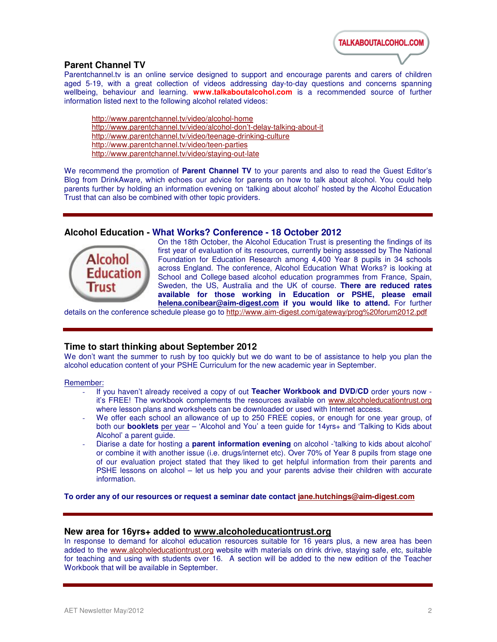**TALKABOUTALCOHOL.COM** 

# **Parent Channel TV**

Parentchannel.tv is an online service designed to support and encourage parents and carers of children aged 5-19, with a great collection of videos addressing day-to-day questions and concerns spanning wellbeing, behaviour and learning. **www.talkaboutalcohol.com** is a recommended source of further information listed next to the following alcohol related videos:

http://www.parentchannel.tv/video/alcohol-home http://www.parentchannel.tv/video/alcohol-don't-delay-talking-about-it http://www.parentchannel.tv/video/teenage-drinking-culture http://www.parentchannel.tv/video/teen-parties http://www.parentchannel.tv/video/staying-out-late

We recommend the promotion of **Parent Channel TV** to your parents and also to read the Guest Editor's Blog from DrinkAware, which echoes our advice for parents on how to talk about alcohol. You could help parents further by holding an information evening on 'talking about alcohol' hosted by the Alcohol Education Trust that can also be combined with other topic providers.

## **Alcohol Education - What Works? Conference - 18 October 2012**



On the 18th October, the Alcohol Education Trust is presenting the findings of its first year of evaluation of its resources, currently being assessed by The National Foundation for Education Research among 4,400 Year 8 pupils in 34 schools across England. The conference, Alcohol Education What Works? is looking at School and College based alcohol education programmes from France, Spain, Sweden, the US, Australia and the UK of course. **There are reduced rates available for those working in Education or PSHE, please email helena.conibear@aim-digest.com if you would like to attend.** For further

details on the conference schedule please go to http://www.aim-digest.com/gateway/prog%20forum2012.pdf

# **Time to start thinking about September 2012**

We don't want the summer to rush by too quickly but we do want to be of assistance to help you plan the alcohol education content of your PSHE Curriculum for the new academic year in September.

#### Remember:

- If you haven't already received a copy of out **Teacher Workbook and DVD/CD** order yours now it's FREE! The workbook complements the resources available on www.alcoholeducationtrust.org where lesson plans and worksheets can be downloaded or used with Internet access.
- We offer each school an allowance of up to 250 FREE copies, or enough for one year group, of both our **booklets** per year – 'Alcohol and You' a teen guide for 14yrs+ and 'Talking to Kids about Alcohol' a parent guide.
- Diarise a date for hosting a **parent information evening** on alcohol -'talking to kids about alcohol' or combine it with another issue (i.e. drugs/internet etc). Over 70% of Year 8 pupils from stage one of our evaluation project stated that they liked to get helpful information from their parents and PSHE lessons on alcohol – let us help you and your parents advise their children with accurate information.

**To order any of our resources or request a seminar date contact jane.hutchings@aim-digest.com**

## **New area for 16yrs+ added to www.alcoholeducationtrust.org**

In response to demand for alcohol education resources suitable for 16 years plus, a new area has been added to the www.alcoholeducationtrust.org website with materials on drink drive, staying safe, etc, suitable for teaching and using with students over 16. A section will be added to the new edition of the Teacher Workbook that will be available in September.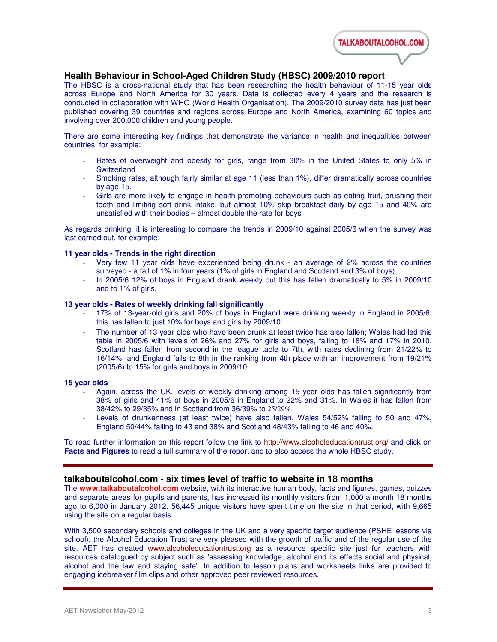

# **Health Behaviour in School-Aged Children Study (HBSC) 2009/2010 report**

The HBSC is a cross-national study that has been researching the health behaviour of 11-15 year olds across Europe and North America for 30 years. Data is collected every 4 years and the research is conducted in collaboration with WHO (World Health Organisation). The 2009/2010 survey data has just been published covering 39 countries and regions across Europe and North America, examining 60 topics and involving over 200,000 children and young people.

There are some interesting key findings that demonstrate the variance in health and inequalities between countries, for example:

- Rates of overweight and obesity for girls, range from 30% in the United States to only 5% in **Switzerland**
- Smoking rates, although fairly similar at age 11 (less than 1%), differ dramatically across countries by age 15.
- Girls are more likely to engage in health-promoting behaviours such as eating fruit, brushing their teeth and limiting soft drink intake, but almost 10% skip breakfast daily by age 15 and 40% are unsatisfied with their bodies – almost double the rate for boys

As regards drinking, it is interesting to compare the trends in 2009/10 against 2005/6 when the survey was last carried out, for example:

## **11 year olds - Trends in the right direction**

- Very few 11 year olds have experienced being drunk an average of 2% across the countries surveyed - a fall of 1% in four years (1% of girls in England and Scotland and 3% of boys).
- In 2005/6 12% of boys in England drank weekly but this has fallen dramatically to 5% in 2009/10 and to 1% of girls.

#### **13 year olds - Rates of weekly drinking fall significantly**

- 17% of 13-year-old girls and 20% of boys in England were drinking weekly in England in 2005/6; this has fallen to just 10% for boys and girls by 2009/10.
- The number of 13 year olds who have been drunk at least twice has also fallen; Wales had led this table in 2005/6 with levels of 26% and 27% for girls and boys, falling to 18% and 17% in 2010. Scotland has fallen from second in the league table to 7th, with rates declining from 21/22% to 16/14%, and England falls to 8th in the ranking from 4th place with an improvement from 19/21% (2005/6) to 15% for girls and boys in 2009/10.

#### **15 year olds**

- Again, across the UK, levels of weekly drinking among 15 year olds has fallen significantly from 38% of girls and 41% of boys in 2005/6 in England to 22% and 31%. In Wales it has fallen from 38/42% to 29/35% and in Scotland from 36/39% to 25/29%.
- Levels of drunkenness (at least twice) have also fallen. Wales 54/52% falling to 50 and 47%, England 50/44% failing to 43 and 38% and Scotland 48/43% falling to 46 and 40%.

To read further information on this report follow the link to http://www.alcoholeducationtrust.org/ and click on **Facts and Figures** to read a full summary of the report and to also access the whole HBSC study.

## **talkaboutalcohol.com - six times level of traffic to website in 18 months**

The **www.talkaboutalcohol.com** website, with its interactive human body, facts and figures, games, quizzes and separate areas for pupils and parents, has increased its monthly visitors from 1,000 a month 18 months ago to 6,000 in January 2012. 56,445 unique visitors have spent time on the site in that period, with 9,665 using the site on a regular basis.

With 3,500 secondary schools and colleges in the UK and a very specific target audience (PSHE lessons via school), the Alcohol Education Trust are very pleased with the growth of traffic and of the regular use of the site. AET has created www.alcoholeducationtrust.org as a resource specific site just for teachers with resources catalogued by subject such as 'assessing knowledge, alcohol and its effects social and physical, alcohol and the law and staying safe'. In addition to lesson plans and worksheets links are provided to engaging icebreaker film clips and other approved peer reviewed resources.